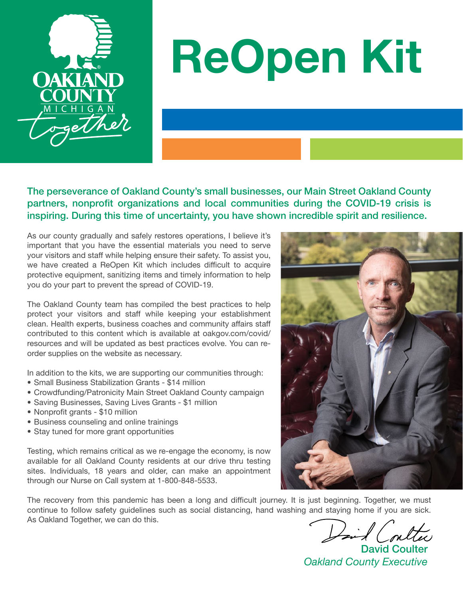

# ReOpen Kit

The perseverance of Oakland County's small businesses, our Main Street Oakland County partners, nonprofit organizations and local communities during the COVID-19 crisis is inspiring. During this time of uncertainty, you have shown incredible spirit and resilience.

As our county gradually and safely restores operations, I believe it's important that you have the essential materials you need to serve your visitors and staff while helping ensure their safety. To assist you, we have created a ReOpen Kit which includes difficult to acquire protective equipment, sanitizing items and timely information to help you do your part to prevent the spread of COVID-19.

The Oakland County team has compiled the best practices to help protect your visitors and staff while keeping your establishment clean. Health experts, business coaches and community affairs staff contributed to this content which is available at [oakgov.com/covid/](http://oakgov.com/covid/resources) [resources](http://oakgov.com/covid/resources) and will be updated as best practices evolve. You can reorder supplies on the website as necessary.

In addition to the kits, we are supporting our communities through:

- Small Business Stabilization Grants \$14 million
- Crowdfunding/Patronicity Main Street Oakland County campaign
- Saving Businesses, Saving Lives Grants \$1 million
- Nonprofit grants \$10 million
- Business counseling and online trainings
- Stay tuned for more grant opportunities

Testing, which remains critical as we re-engage the economy, is now available for all Oakland County residents at our drive thru testing sites. Individuals, 18 years and older, can make an appointment through our Nurse on Call system at 1-800-848-5533.

The recovery from this pandemic has been a long and difficult journey. It is just beginning. Together, we must continue to follow safety guidelines such as social distancing, hand washing and staying home if you are sick. As Oakland Together, we can do this.

Hind (oul

David Coulter *Oakland County Executive*

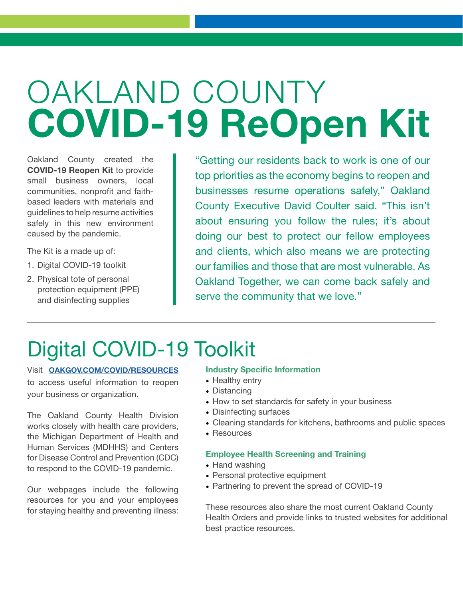## OAKLAND COUNTY COVID-19 ReOpen Kit

Oakland County created the COVID-19 Reopen Kit to provide small business owners, local communities, nonprofit and faithbased leaders with materials and guidelines to help resume activities safely in this new environment caused by the pandemic.

The Kit is a made up of:

- 1. Digital COVID-19 toolkit
- 2. Physical tote of personal protection equipment (PPE) and disinfecting supplies

"Getting our residents back to work is one of our top priorities as the economy begins to reopen and businesses resume operations safely," Oakland County Executive David Coulter said. "This isn't about ensuring you follow the rules; it's about doing our best to protect our fellow employees and clients, which also means we are protecting our families and those that are most vulnerable. As Oakland Together, we can come back safely and serve the community that we love."

### Digital COVID-19 Toolkit

Visit [OAKGOV.COM/COVID/RESOURCES](http://OAKGOV.COM/COVID/RESOURCES ) to access useful information to reopen your business or organization.

The Oakland County Health Division works closely with health care providers, the Michigan Department of Health and Human Services (MDHHS) and Centers for Disease Control and Prevention (CDC) to respond to the COVID-19 pandemic.

Our webpages include the following resources for you and your employees for staying healthy and preventing illness:

### Industry Specific Information

- Healthy entry
- Distancing
- How to set standards for safety in your business
- Disinfecting surfaces
- Cleaning standards for kitchens, bathrooms and public spaces
- Resources

### Employee Health Screening and Training

- Hand washing
- Personal protective equipment
- Partnering to prevent the spread of COVID-19

These resources also share the most current Oakland County Health Orders and provide links to trusted websites for additional best practice resources.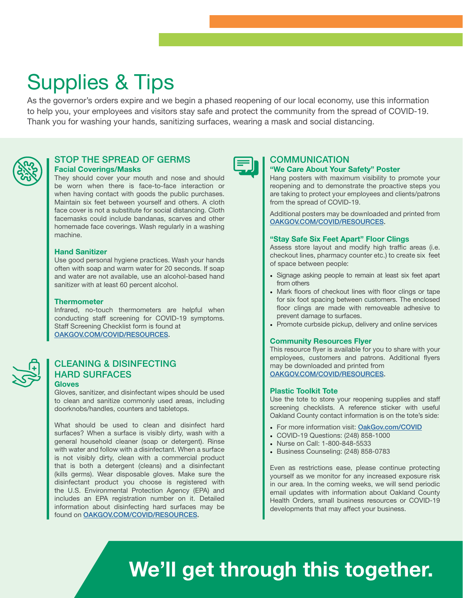### Supplies & Tips

As the governor's orders expire and we begin a phased reopening of our local economy, use this information to help you, your employees and visitors stay safe and protect the community from the spread of COVID-19. Thank you for washing your hands, sanitizing surfaces, wearing a mask and social distancing.



### STOP THE SPREAD OF GERMS Facial Coverings/Masks

They should cover your mouth and nose and should be worn when there is face-to-face interaction or when having contact with goods the public purchases. Maintain six feet between yourself and others. A cloth face cover is not a substitute for social distancing. Cloth facemasks could include bandanas, scarves and other homemade face coverings. Wash regularly in a washing machine.

### Hand Sanitizer

Use good personal hygiene practices. Wash your hands often with soap and warm water for 20 seconds. If soap and water are not available, use an alcohol-based hand sanitizer with at least 60 percent alcohol.

### **Thermometer**

Infrared, no-touch thermometers are helpful when conducting staff screening for COVID-19 symptoms. Staff Screening Checklist form is found at [OAKGOV.COM/COVID/RESOURCES.](http://OAKGOV.COM/COVID/RESOURCES)



### CLEANING & DISINFECTING HARD SURFACES

#### **Gloves**

Gloves, sanitizer, and disinfectant wipes should be used to clean and sanitize commonly used areas, including doorknobs/handles, counters and tabletops.

What should be used to clean and disinfect hard surfaces? When a surface is visibly dirty, wash with a general household cleaner (soap or detergent). Rinse with water and follow with a disinfectant. When a surface is not visibly dirty, clean with a commercial product that is both a detergent (cleans) and a disinfectant (kills germs). Wear disposable gloves. Make sure the disinfectant product you choose is registered with the U.S. Environmental Protection Agency (EPA) and includes an EPA registration number on it. Detailed information about disinfecting hard surfaces may be found on [OAKGOV.COM/COVID/RESOURCES.](http://OAKGOV.COM/COVID/RESOURCES)



### **COMMUNICATION** "We Care About Your Safety" Poster

Hang posters with maximum visibility to promote your reopening and to demonstrate the proactive steps you are taking to protect your employees and clients/patrons from the spread of COVID-19.

Additional posters may be downloaded and printed from [OAKGOV.COM/COVID/RESOURCES.](http://OAKGOV.COM/COVID/RESOURCES)

### "Stay Safe Six Feet Apart" Floor Clings

Assess store layout and modify high traffic areas (i.e. checkout lines, pharmacy counter etc.) to create six feet of space between people:

- Signage asking people to remain at least six feet apart from others
- Mark floors of checkout lines with floor clings or tape for six foot spacing between customers. The enclosed floor clings are made with removeable adhesive to prevent damage to surfaces.
- Promote curbside pickup, delivery and online services

### Community Resources Flyer

This resource flyer is available for you to share with your employees, customers and patrons. Additional flyers may be downloaded and printed from [OAKGOV.COM/COVID/RESOURCES.](http://OAKGOV.COM/COVID/RESOURCES)

### Plastic Toolkit Tote

Use the tote to store your reopening supplies and staff screening checklists. A reference sticker with useful Oakland County contact information is on the tote's side:

- For more information visit: [OakGov.com/COVID](http://OakGov.com/COVID)
- COVID-19 Questions: (248) 858-1000
- Nurse on Call: 1-800-848-5533
- Business Counseling: (248) 858-0783

Even as restrictions ease, please continue protecting yourself as we monitor for any increased exposure risk in our area. In the coming weeks, we will send periodic email updates with information about Oakland County Health Orders, small business resources or COVID-19 developments that may affect your business.

### We'll get through this together.